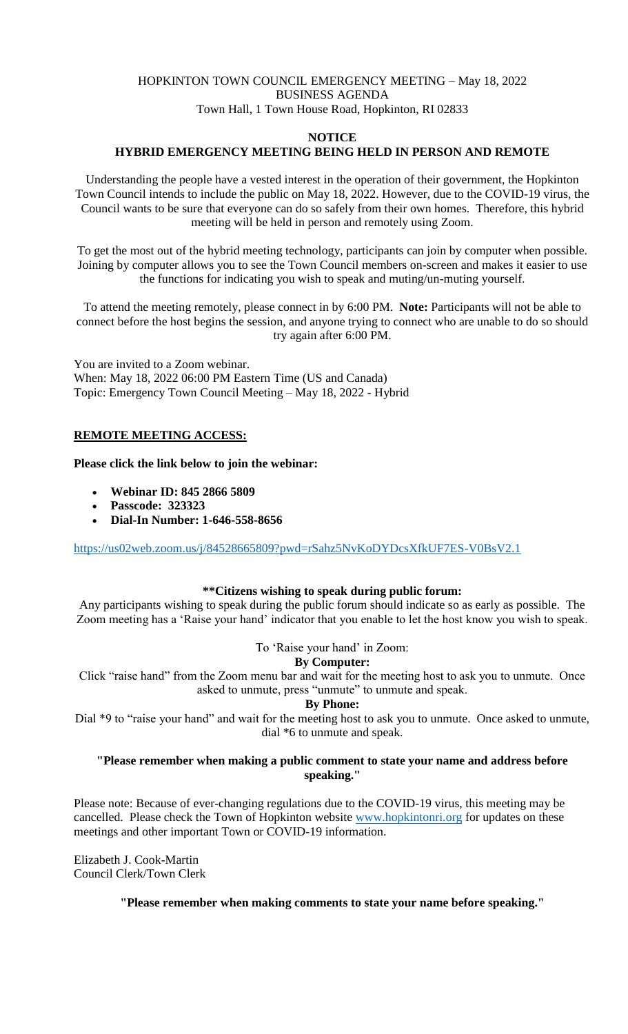# HOPKINTON TOWN COUNCIL EMERGENCY MEETING – May 18, 2022 BUSINESS AGENDA Town Hall, 1 Town House Road, Hopkinton, RI 02833

### **NOTICE**

### **HYBRID EMERGENCY MEETING BEING HELD IN PERSON AND REMOTE**

Understanding the people have a vested interest in the operation of their government, the Hopkinton Town Council intends to include the public on May 18, 2022. However, due to the COVID-19 virus, the Council wants to be sure that everyone can do so safely from their own homes. Therefore, this hybrid meeting will be held in person and remotely using Zoom.

To get the most out of the hybrid meeting technology, participants can join by computer when possible. Joining by computer allows you to see the Town Council members on-screen and makes it easier to use the functions for indicating you wish to speak and muting/un-muting yourself.

To attend the meeting remotely, please connect in by 6:00 PM. **Note:** Participants will not be able to connect before the host begins the session, and anyone trying to connect who are unable to do so should try again after 6:00 PM.

You are invited to a Zoom webinar. When: May 18, 2022 06:00 PM Eastern Time (US and Canada) Topic: Emergency Town Council Meeting – May 18, 2022 - Hybrid

### **REMOTE MEETING ACCESS:**

#### **Please click the link below to join the webinar:**

- **Webinar ID: 845 2866 5809**
- **Passcode: 323323**
- **Dial-In Number: 1-646-558-8656**

<https://us02web.zoom.us/j/84528665809?pwd=rSahz5NvKoDYDcsXfkUF7ES-V0BsV2.1>

#### **\*\*Citizens wishing to speak during public forum:**

Any participants wishing to speak during the public forum should indicate so as early as possible. The Zoom meeting has a 'Raise your hand' indicator that you enable to let the host know you wish to speak.

To 'Raise your hand' in Zoom:

### **By Computer:**

Click "raise hand" from the Zoom menu bar and wait for the meeting host to ask you to unmute. Once asked to unmute, press "unmute" to unmute and speak.

# **By Phone:**

Dial \*9 to "raise your hand" and wait for the meeting host to ask you to unmute. Once asked to unmute, dial \*6 to unmute and speak.

#### **"Please remember when making a public comment to state your name and address before speaking."**

Please note: Because of ever-changing regulations due to the COVID-19 virus, this meeting may be cancelled. Please check the Town of Hopkinton website [www.hopkintonri.org](http://www.hopkintonri.org/) for updates on these meetings and other important Town or COVID-19 information.

Elizabeth J. Cook-Martin Council Clerk/Town Clerk

#### **"Please remember when making comments to state your name before speaking."**